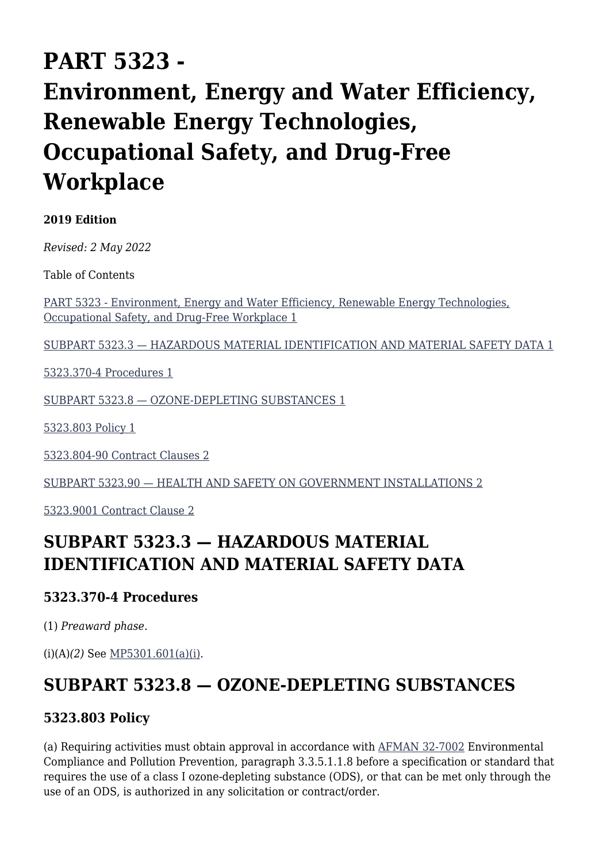# **PART 5323 - Environment, Energy and Water Efficiency, Renewable Energy Technologies, Occupational Safety, and Drug-Free Workplace**

#### **2019 Edition**

*Revised: 2 May 2022*

Table of Contents

[PART 5323 - Environment, Energy and Water Efficiency, Renewable Energy Technologies,](#page--1-0) [Occupational Safety, and Drug-Free Workplace 1](#page--1-0)

[SUBPART 5323.3 — HAZARDOUS MATERIAL IDENTIFICATION AND MATERIAL SAFETY DATA 1](#page--1-0)

[5323.370-4 Procedures 1](#page--1-0)

[SUBPART 5323.8 — OZONE-DEPLETING SUBSTANCES 1](#page--1-0)

[5323.803 Policy 1](#page--1-0)

[5323.804-90 Contract Clauses 2](#page--1-0)

[SUBPART 5323.90 — HEALTH AND SAFETY ON GOVERNMENT INSTALLATIONS 2](#page--1-0)

[5323.9001 Contract Clause 2](#page--1-0)

## **SUBPART 5323.3 — HAZARDOUS MATERIAL IDENTIFICATION AND MATERIAL SAFETY DATA**

## **5323.370-4 Procedures**

(1) *Preaward phase.*

(i)(A)*(2)* See [MP5301.601\(a\)\(i\).](https://origin-www.acquisition.gov/%5Brp:link:affars-mp-AFFARS-MP_PART-mp_5301.601(a)(i)%5D#p532337041iA2)

## **SUBPART 5323.8 — OZONE-DEPLETING SUBSTANCES**

## **5323.803 Policy**

(a) Requiring activities must obtain approval in accordance with [AFMAN 32-7002](https://static.e-publishing.af.mil/production/1/af_a4/publication/afman32-7002/afman32-7002.pdf) Environmental Compliance and Pollution Prevention, paragraph 3.3.5.1.1.8 before a specification or standard that requires the use of a class I ozone-depleting substance (ODS), or that can be met only through the use of an ODS, is authorized in any solicitation or contract/order.